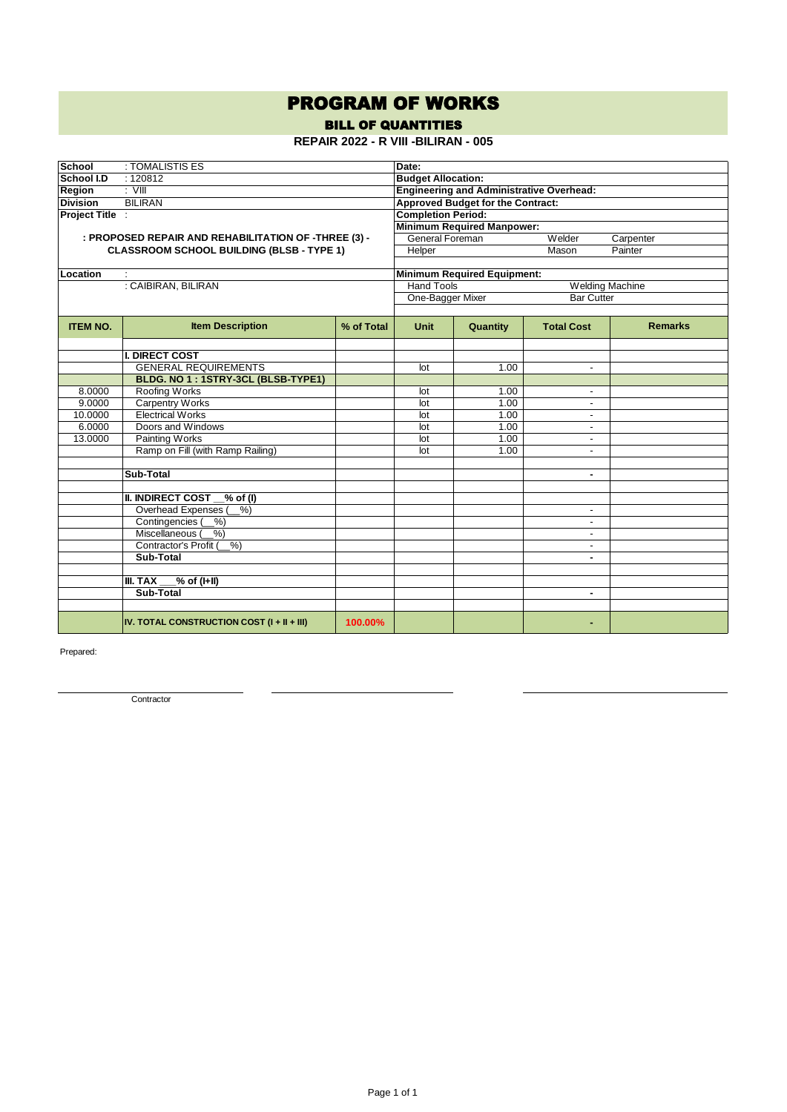## PROGRAM OF WORKS

BILL OF QUANTITIES

**REPAIR 2022 - R VIII -BILIRAN - 005**

| <b>School</b>   | : TOMALISTIS ES                                      | Date:                                           |                                        |                                    |                          |                |  |  |
|-----------------|------------------------------------------------------|-------------------------------------------------|----------------------------------------|------------------------------------|--------------------------|----------------|--|--|
| School I.D      | : 120812                                             | <b>Budget Allocation:</b>                       |                                        |                                    |                          |                |  |  |
| Region          | $\overline{\cdot}$ VIII                              | <b>Engineering and Administrative Overhead:</b> |                                        |                                    |                          |                |  |  |
| <b>Division</b> | <b>BILIRAN</b>                                       | <b>Approved Budget for the Contract:</b>        |                                        |                                    |                          |                |  |  |
| Project Title : |                                                      |                                                 | <b>Completion Period:</b>              |                                    |                          |                |  |  |
|                 |                                                      |                                                 |                                        | <b>Minimum Required Manpower:</b>  |                          |                |  |  |
|                 | : PROPOSED REPAIR AND REHABILITATION OF -THREE (3) - |                                                 | General Foreman<br>Welder<br>Carpenter |                                    |                          |                |  |  |
|                 | <b>CLASSROOM SCHOOL BUILDING (BLSB - TYPE 1)</b>     |                                                 | Helper                                 | Painter                            |                          |                |  |  |
|                 |                                                      |                                                 |                                        |                                    |                          |                |  |  |
| Location        | ÷                                                    |                                                 |                                        | <b>Minimum Required Equipment:</b> |                          |                |  |  |
|                 | : CAIBIRAN, BILIRAN                                  |                                                 | <b>Hand Tools</b>                      |                                    | <b>Welding Machine</b>   |                |  |  |
|                 |                                                      |                                                 | One-Bagger Mixer                       |                                    | <b>Bar Cutter</b>        |                |  |  |
|                 |                                                      |                                                 |                                        |                                    |                          |                |  |  |
| <b>ITEM NO.</b> | <b>Item Description</b>                              | % of Total                                      | <b>Unit</b>                            | Quantity                           | <b>Total Cost</b>        | <b>Remarks</b> |  |  |
|                 |                                                      |                                                 |                                        |                                    |                          |                |  |  |
|                 | <b>I. DIRECT COST</b>                                |                                                 |                                        |                                    |                          |                |  |  |
|                 | <b>GENERAL REQUIREMENTS</b>                          |                                                 | lot                                    | 1.00                               | $\overline{\phantom{a}}$ |                |  |  |
|                 | BLDG. NO 1: 1STRY-3CL (BLSB-TYPE1)                   |                                                 |                                        |                                    |                          |                |  |  |
| 8.0000          | Roofing Works                                        |                                                 | lot                                    | 1.00                               | $\blacksquare$           |                |  |  |
| 9.0000          | <b>Carpentry Works</b>                               |                                                 | lot                                    | 1.00                               | $\overline{\phantom{a}}$ |                |  |  |
| 10.0000         | <b>Electrical Works</b>                              |                                                 | lot                                    | 1.00                               | $\blacksquare$           |                |  |  |
| 6.0000          | Doors and Windows                                    |                                                 | lot                                    | 1.00                               | $\overline{a}$           |                |  |  |
| 13.0000         | Painting Works                                       |                                                 | lot                                    | 1.00                               | $\blacksquare$           |                |  |  |
|                 | Ramp on Fill (with Ramp Railing)                     |                                                 | lot                                    | 1.00                               | $\blacksquare$           |                |  |  |
|                 |                                                      |                                                 |                                        |                                    |                          |                |  |  |
|                 | Sub-Total                                            |                                                 |                                        |                                    | $\blacksquare$           |                |  |  |
|                 |                                                      |                                                 |                                        |                                    |                          |                |  |  |
|                 | <b>II. INDIRECT COST</b><br>$%$ of (I)               |                                                 |                                        |                                    |                          |                |  |  |
|                 | $%$ )<br>Overhead Expenses (                         |                                                 |                                        |                                    | $\overline{\phantom{a}}$ |                |  |  |
|                 | Contingencies (<br>%                                 |                                                 |                                        |                                    | $\blacksquare$           |                |  |  |
|                 | Miscellaneous (<br>$%$ )                             |                                                 |                                        |                                    | $\overline{a}$           |                |  |  |
|                 | Contractor's Profit (<br>%                           |                                                 |                                        |                                    |                          |                |  |  |
|                 | Sub-Total                                            |                                                 |                                        |                                    | ٠                        |                |  |  |
|                 |                                                      |                                                 |                                        |                                    |                          |                |  |  |
|                 | $\sqrt{6}$ of (I+II)<br>III. TAX                     |                                                 |                                        |                                    |                          |                |  |  |
|                 | Sub-Total                                            |                                                 |                                        |                                    | $\blacksquare$           |                |  |  |
|                 |                                                      |                                                 |                                        |                                    |                          |                |  |  |
|                 | IV. TOTAL CONSTRUCTION COST $(I + II + III)$         | 100.00%                                         |                                        |                                    |                          |                |  |  |

Prepared:

**Contractor**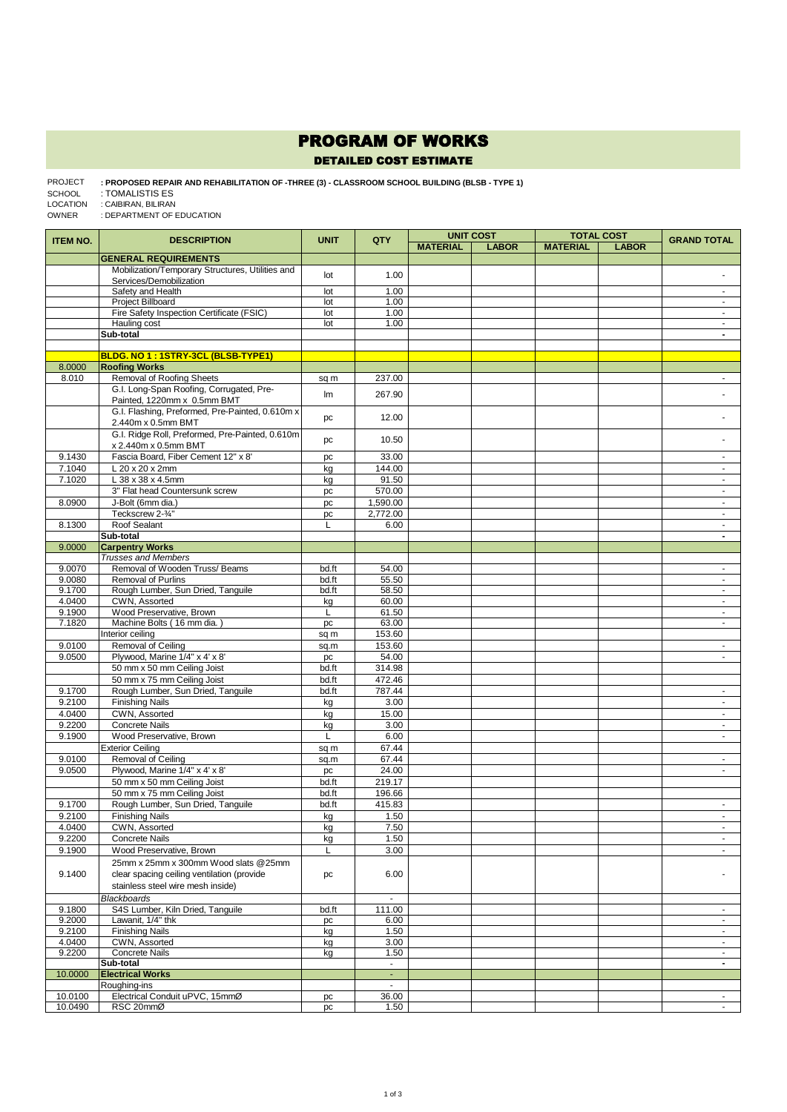## PROGRAM OF WORKS

## DETAILED COST ESTIMATE

**: PROPOSED REPAIR AND REHABILITATION OF -THREE (3) - CLASSROOM SCHOOL BUILDING (BLSB - TYPE 1)**  : TOMALISTIS ES : CAIBIRAN, BILIRAN PROJECT SCHOOL LOCATION

: DEPARTMENT OF EDUCATION OWNER

| <b>ITEM NO.</b> | <b>DESCRIPTION</b>                               | <b>UNIT</b> | QTY                      | <b>UNIT COST</b> |              | <b>TOTAL COST</b> |              | <b>GRAND TOTAL</b>       |
|-----------------|--------------------------------------------------|-------------|--------------------------|------------------|--------------|-------------------|--------------|--------------------------|
|                 |                                                  |             |                          | <b>MATERIAL</b>  | <b>LABOR</b> | <b>MATERIAL</b>   | <b>LABOR</b> |                          |
|                 | <b>GENERAL REQUIREMENTS</b>                      |             |                          |                  |              |                   |              |                          |
|                 | Mobilization/Temporary Structures, Utilities and |             |                          |                  |              |                   |              |                          |
|                 | Services/Demobilization                          | lot         | 1.00                     |                  |              |                   |              |                          |
|                 | Safety and Health                                | lot         | 1.00                     |                  |              |                   |              | $\sim$                   |
|                 | Project Billboard                                | lot         | 1.00                     |                  |              |                   |              | $\blacksquare$           |
|                 | Fire Safety Inspection Certificate (FSIC)        | lot         | 1.00                     |                  |              |                   |              | $\sim$                   |
|                 | Hauling cost                                     | lot         | 1.00                     |                  |              |                   |              | $\sim$                   |
|                 | Sub-total                                        |             |                          |                  |              |                   |              | $\blacksquare$           |
|                 |                                                  |             |                          |                  |              |                   |              |                          |
|                 | BLDG. NO 1: 1STRY-3CL (BLSB-TYPE1)               |             |                          |                  |              |                   |              |                          |
| 8.0000          | <b>Roofing Works</b>                             |             |                          |                  |              |                   |              |                          |
| 8.010           | Removal of Roofing Sheets                        | sq m        | 237.00                   |                  |              |                   |              | $\blacksquare$           |
|                 | G.I. Long-Span Roofing, Corrugated, Pre-         |             |                          |                  |              |                   |              |                          |
|                 | Painted, 1220mm x 0.5mm BMT                      | Im          | 267.90                   |                  |              |                   |              |                          |
|                 | G.I. Flashing, Preformed, Pre-Painted, 0.610m x  |             |                          |                  |              |                   |              |                          |
|                 | 2.440m x 0.5mm BMT                               | pc          | 12.00                    |                  |              |                   |              |                          |
|                 | G.I. Ridge Roll, Preformed, Pre-Painted, 0.610m  |             |                          |                  |              |                   |              |                          |
|                 | x 2.440m x 0.5mm BMT                             | pc          | 10.50                    |                  |              |                   |              |                          |
|                 |                                                  |             |                          |                  |              |                   |              |                          |
| 9.1430          | Fascia Board, Fiber Cement 12" x 8"              | pc          | 33.00                    |                  |              |                   |              | $\blacksquare$           |
| 7.1040          | L 20 x 20 x 2mm                                  | kg          | 144.00                   |                  |              |                   |              |                          |
| 7.1020          | L 38 x 38 x 4.5mm                                | kg          | 91.50                    |                  |              |                   |              | $\blacksquare$           |
|                 | 3" Flat head Countersunk screw                   | pc          | 570.00                   |                  |              |                   |              | $\omega$                 |
| 8.0900          | J-Bolt (6mm dia.)                                | pc          | 1,590.00                 |                  |              |                   |              | $\blacksquare$           |
|                 | Teckscrew 2-3/4"                                 | pc          | 2,772.00                 |                  |              |                   |              | $\sim$                   |
| 8.1300          | Roof Sealant                                     | L           | 6.00                     |                  |              |                   |              | $\sim$                   |
|                 | Sub-total                                        |             |                          |                  |              |                   |              | $\overline{\phantom{a}}$ |
| 9.0000          | <b>Carpentry Works</b>                           |             |                          |                  |              |                   |              |                          |
|                 | <b>Trusses and Members</b>                       |             |                          |                  |              |                   |              |                          |
| 9.0070          | Removal of Wooden Truss/Beams                    | bd.ft       | 54.00                    |                  |              |                   |              | $\blacksquare$           |
| 9.0080          | Removal of Purlins                               | bd.ft       | 55.50                    |                  |              |                   |              | $\blacksquare$           |
| 9.1700          | Rough Lumber, Sun Dried, Tanguile                | bd.ft       | 58.50                    |                  |              |                   |              | ÷.                       |
| 4.0400          | CWN. Assorted                                    | kg          | 60.00                    |                  |              |                   |              | $\sim$                   |
| 9.1900          | Wood Preservative, Brown                         | L           | 61.50                    |                  |              |                   |              | $\sim$                   |
| 7.1820          | Machine Bolts (16 mm dia.)                       | pc          | 63.00                    |                  |              |                   |              | ä,                       |
|                 | Interior ceiling                                 | sq m        | 153.60                   |                  |              |                   |              |                          |
| 9.0100          | Removal of Ceiling                               | sq.m        | 153.60                   |                  |              |                   |              | $\omega$                 |
| 9.0500          | Plywood, Marine 1/4" x 4' x 8'                   | pc          | 54.00                    |                  |              |                   |              | $\sim$                   |
|                 | 50 mm x 50 mm Ceiling Joist                      | bd.ft       | 314.98                   |                  |              |                   |              |                          |
|                 | 50 mm x 75 mm Ceiling Joist                      | bd.ft       | 472.46                   |                  |              |                   |              |                          |
| 9.1700          | Rough Lumber, Sun Dried, Tanguile                | bd.ft       | 787.44                   |                  |              |                   |              | $\sim$                   |
| 9.2100          | <b>Finishing Nails</b>                           | kg          | 3.00                     |                  |              |                   |              | $\blacksquare$           |
|                 |                                                  |             | 15.00                    |                  |              |                   |              | ÷.                       |
| 4.0400          | CWN, Assorted                                    | kg          |                          |                  |              |                   |              |                          |
| 9.2200          | <b>Concrete Nails</b>                            | kg          | 3.00                     |                  |              |                   |              | ÷.                       |
| 9.1900          | Wood Preservative, Brown                         | L           | 6.00                     |                  |              |                   |              | ÷.                       |
|                 | <b>Exterior Ceiling</b>                          | sq m        | 67.44                    |                  |              |                   |              |                          |
| 9.0100          | Removal of Ceiling                               | sq.m        | 67.44                    |                  |              |                   |              | $\sim$                   |
| 9.0500          | Plywood, Marine 1/4" x 4' x 8'                   | pc          | 24.00                    |                  |              |                   |              | $\sim$                   |
|                 | 50 mm x 50 mm Ceiling Joist                      | bd.ft       | 219.17                   |                  |              |                   |              |                          |
|                 | 50 mm x 75 mm Ceiling Joist                      | bd.ft       | 196.66                   |                  |              |                   |              |                          |
| 9.1700          | Rough Lumber, Sun Dried, Tanguile                | bd.ft       | 415.83                   |                  |              |                   |              | ٠                        |
| 9.2100          | <b>Finishing Nails</b>                           | kg          | 1.50                     |                  |              |                   |              | $\sim$                   |
| 4.0400          | CWN, Assorted                                    | <u>kg</u>   | 7.50                     |                  |              |                   |              |                          |
| 9.2200          | <b>Concrete Nails</b>                            | kg          | 1.50                     |                  |              |                   |              | ٠                        |
| 9.1900          | Wood Preservative, Brown                         | L           | 3.00                     |                  |              |                   |              | $\sim$                   |
|                 | 25mm x 25mm x 300mm Wood slats @25mm             |             |                          |                  |              |                   |              |                          |
|                 |                                                  |             |                          |                  |              |                   |              |                          |
| 9.1400          | clear spacing ceiling ventilation (provide       | pc          | 6.00                     |                  |              |                   |              |                          |
|                 | stainless steel wire mesh inside)                |             |                          |                  |              |                   |              |                          |
|                 | <b>Blackboards</b>                               |             | $\blacksquare$           |                  |              |                   |              |                          |
| 9.1800          | S4S Lumber, Kiln Dried, Tanguile                 | bd.ft       | 111.00                   |                  |              |                   |              | $\sim$                   |
| 9.2000          | Lawanit, 1/4" thk                                | pc          | 6.00                     |                  |              |                   |              | $\blacksquare$           |
| 9.2100          | <b>Finishing Nails</b>                           | kg          | 1.50                     |                  |              |                   |              | ÷.                       |
| 4.0400          | CWN, Assorted                                    | kg          | 3.00                     |                  |              |                   |              | $\sim$                   |
| 9.2200          | Concrete Nails                                   | kg          | 1.50                     |                  |              |                   |              | $\sim$                   |
|                 | Sub-total                                        |             | $\overline{\phantom{a}}$ |                  |              |                   |              | $\overline{\phantom{a}}$ |
| 10.0000         | <b>Electrical Works</b>                          |             | $\omega$                 |                  |              |                   |              |                          |
|                 | Roughing-ins                                     |             | $\blacksquare$           |                  |              |                   |              |                          |
| 10.0100         | Electrical Conduit uPVC, 15mmØ                   | pc          | 36.00                    |                  |              |                   |              | $\sim$                   |
| 10.0490         | RSC 20mmØ                                        | pc          | 1.50                     |                  |              |                   |              |                          |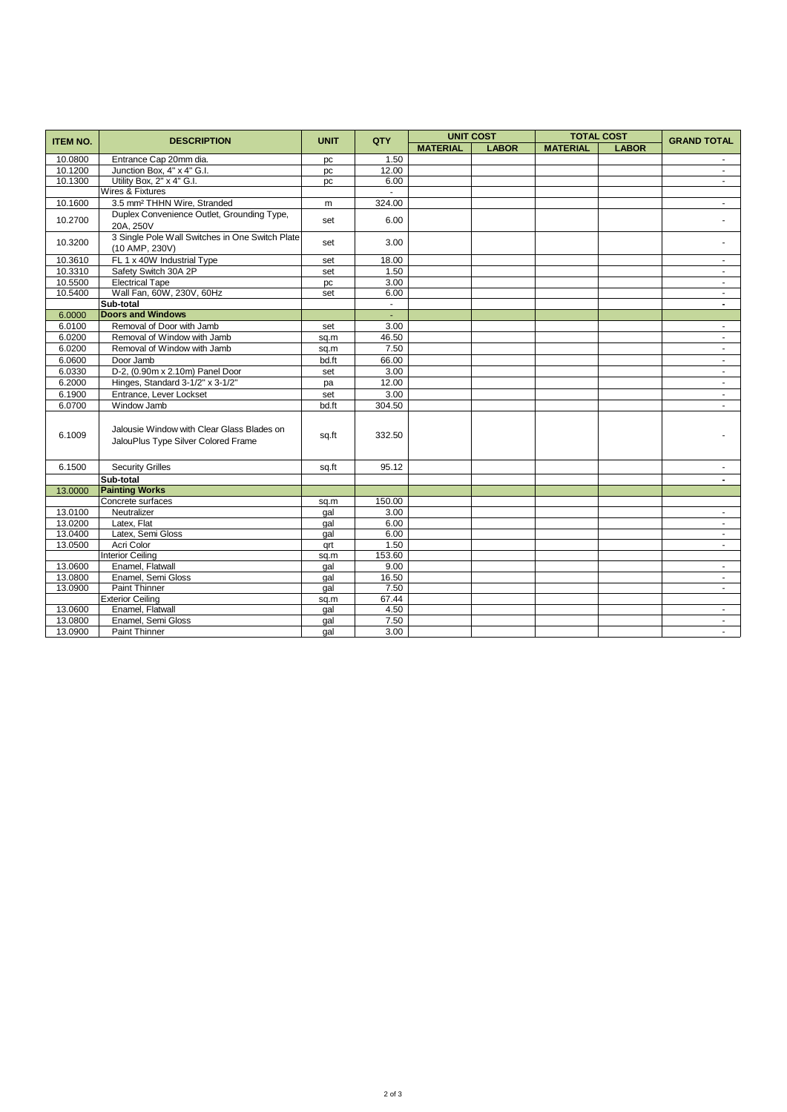| <b>ITEM NO.</b> | <b>DESCRIPTION</b>                                                                | <b>UNIT</b> | QTY    | <b>UNIT COST</b> |              | <b>TOTAL COST</b> |              | <b>GRAND TOTAL</b>       |
|-----------------|-----------------------------------------------------------------------------------|-------------|--------|------------------|--------------|-------------------|--------------|--------------------------|
|                 |                                                                                   |             |        | <b>MATERIAL</b>  | <b>LABOR</b> | <b>MATERIAL</b>   | <b>LABOR</b> |                          |
| 10.0800         | Entrance Cap 20mm dia.                                                            | pc          | 1.50   |                  |              |                   |              |                          |
| 10.1200         | Junction Box, 4" x 4" G.I.                                                        | pc          | 12.00  |                  |              |                   |              | $\blacksquare$           |
| 10.1300         | Utility Box, 2" x 4" G.I.                                                         | pc          | 6.00   |                  |              |                   |              | $\sim$                   |
|                 | Wires & Fixtures                                                                  |             | $\sim$ |                  |              |                   |              |                          |
| 10.1600         | 3.5 mm <sup>2</sup> THHN Wire, Stranded                                           | m           | 324.00 |                  |              |                   |              | $\sim$                   |
| 10.2700         | Duplex Convenience Outlet, Grounding Type,<br>20A. 250V                           | set         | 6.00   |                  |              |                   |              |                          |
| 10.3200         | 3 Single Pole Wall Switches in One Switch Plate<br>(10 AMP, 230V)                 | set         | 3.00   |                  |              |                   |              |                          |
| 10.3610         | FL 1 x 40W Industrial Type                                                        | set         | 18.00  |                  |              |                   |              | $\sim$                   |
| 10.3310         | Safety Switch 30A 2P                                                              | set         | 1.50   |                  |              |                   |              |                          |
| 10.5500         | <b>Electrical Tape</b>                                                            | pc          | 3.00   |                  |              |                   |              | $\sim$                   |
| 10.5400         | Wall Fan, 60W, 230V, 60Hz                                                         | set         | 6.00   |                  |              |                   |              | $\sim$                   |
|                 | Sub-total                                                                         |             | $\sim$ |                  |              |                   |              | $\overline{\phantom{0}}$ |
| 6.0000          | <b>Doors and Windows</b>                                                          |             | ÷.     |                  |              |                   |              |                          |
| 6.0100          | Removal of Door with Jamb                                                         | set         | 3.00   |                  |              |                   |              | $\blacksquare$           |
| 6.0200          | Removal of Window with Jamb                                                       | sq.m        | 46.50  |                  |              |                   |              | $\sim$                   |
| 6.0200          | Removal of Window with Jamb                                                       | sq.m        | 7.50   |                  |              |                   |              | $\sim$                   |
| 6.0600          | Door Jamb                                                                         | bd.ft       | 66.00  |                  |              |                   |              | $\blacksquare$           |
| 6.0330          | D-2, (0.90m x 2.10m) Panel Door                                                   | set         | 3.00   |                  |              |                   |              | $\sim$                   |
| 6.2000          | Hinges, Standard 3-1/2" x 3-1/2"                                                  | pa          | 12.00  |                  |              |                   |              | $\sim$                   |
| 6.1900          | Entrance, Lever Lockset                                                           | set         | 3.00   |                  |              |                   |              |                          |
| 6.0700          | Window Jamb                                                                       | bd.ft       | 304.50 |                  |              |                   |              | $\sim$                   |
| 6.1009          | Jalousie Window with Clear Glass Blades on<br>JalouPlus Type Silver Colored Frame | sq.ft       | 332.50 |                  |              |                   |              |                          |
| 6.1500          | <b>Security Grilles</b>                                                           | sq.ft       | 95.12  |                  |              |                   |              |                          |
|                 | Sub-total                                                                         |             |        |                  |              |                   |              | $\blacksquare$           |
| 13.0000         | <b>Painting Works</b>                                                             |             |        |                  |              |                   |              |                          |
|                 | Concrete surfaces                                                                 | sq.m        | 150.00 |                  |              |                   |              |                          |
| 13.0100         | Neutralizer                                                                       | gal         | 3.00   |                  |              |                   |              | $\sim$                   |
| 13.0200         | Latex, Flat                                                                       | qal         | 6.00   |                  |              |                   |              | $\sim$                   |
| 13.0400         | Latex, Semi Gloss                                                                 | gal         | 6.00   |                  |              |                   |              | $\sim$                   |
| 13.0500         | Acri Color                                                                        | qrt         | 1.50   |                  |              |                   |              | $\sim$                   |
|                 | <b>Interior Ceiling</b>                                                           | sq.m        | 153.60 |                  |              |                   |              |                          |
| 13.0600         | Enamel, Flatwall                                                                  | gal         | 9.00   |                  |              |                   |              | $\sim$                   |
| 13.0800         | Enamel, Semi Gloss                                                                | gal         | 16.50  |                  |              |                   |              | $\blacksquare$           |
| 13.0900         | <b>Paint Thinner</b>                                                              | qal         | 7.50   |                  |              |                   |              | $\sim$                   |
|                 | <b>Exterior Ceiling</b>                                                           | sq.m        | 67.44  |                  |              |                   |              |                          |
| 13.0600         | Enamel, Flatwall                                                                  | gal         | 4.50   |                  |              |                   |              | $\sim$                   |
| 13.0800         | Enamel, Semi Gloss                                                                | gal         | 7.50   |                  |              |                   |              | $\sim$                   |
| 13.0900         | <b>Paint Thinner</b>                                                              | gal         | 3.00   |                  |              |                   |              | $\sim$                   |